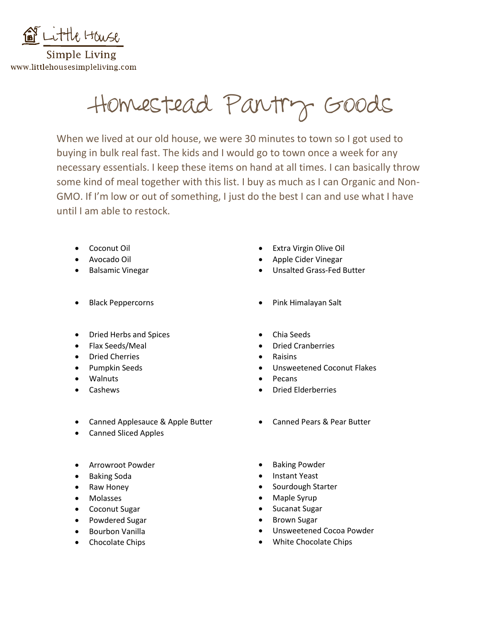

Simple Living www.littlehousesimpleliving.com

Homestead Pantry Goods

When we lived at our old house, we were 30 minutes to town so I got used to buying in bulk real fast. The kids and I would go to town once a week for any necessary essentials. I keep these items on hand at all times. I can basically throw some kind of meal together with this list. I buy as much as I can Organic and Non-GMO. If I'm low or out of something, I just do the best I can and use what I have until I am able to restock.

- Coconut Oil
- Avocado Oil
- Balsamic Vinegar
- Black Peppercorns
- Dried Herbs and Spices
- Flax Seeds/Meal
- Dried Cherries
- Pumpkin Seeds
- Walnuts
- Cashews
- Canned Applesauce & Apple Butter
- Canned Sliced Apples
- Arrowroot Powder
- Baking Soda
- Raw Honey
- Molasses
- Coconut Sugar
- Powdered Sugar
- Bourbon Vanilla
- Chocolate Chips
- Extra Virgin Olive Oil
- Apple Cider Vinegar
- Unsalted Grass-Fed Butter
- Pink Himalayan Salt
- Chia Seeds
- Dried Cranberries
- Raisins
- Unsweetened Coconut Flakes
- Pecans
- Dried Elderberries
- Canned Pears & Pear Butter
- Baking Powder
- Instant Yeast
- Sourdough Starter
- Maple Syrup
- Sucanat Sugar
- Brown Sugar
- Unsweetened Cocoa Powder
- White Chocolate Chips